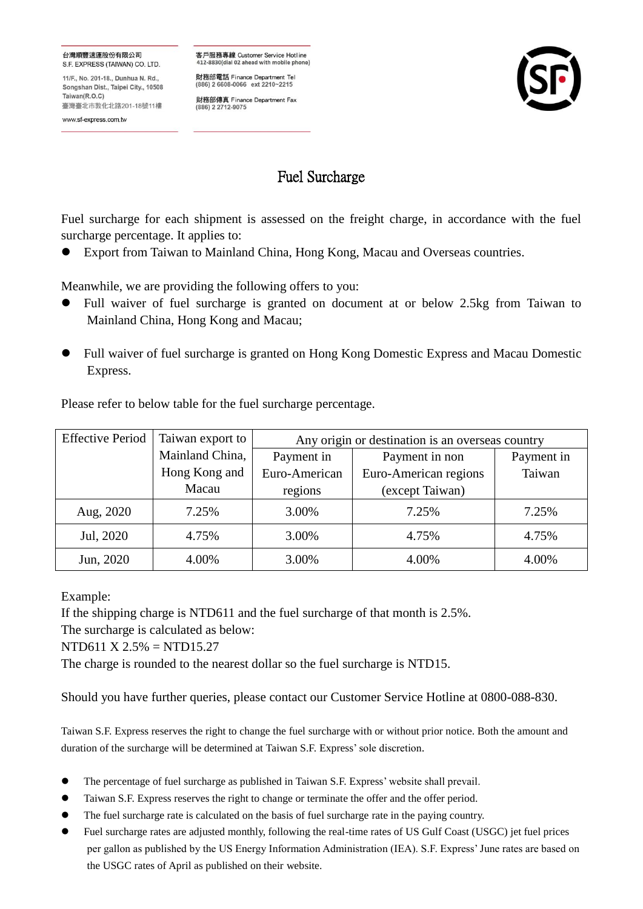## 台灣順豐速運股份有限公司 S.F. EXPRESS (TAIWAN) CO. LTD.

11/F., No. 201-18., Dunhua N. Rd., Songshan Dist., Taipei City., 10508 Taiwan(R O C) 臺灣臺北市敦化北路201-18號11樓

www.sf-express.com.tw

客戶服務專線 Customer Service Hotline 412-8830(dial 02 ahead with mobile phone)

財務部電話 Finance Department Tel (886) 2 6608-0066 ext 2210~2215

財務部傳真 Finance Department Fax<br>(886) 2 2712-9075



## Fuel Surcharge

Fuel surcharge for each shipment is assessed on the freight charge, in accordance with the fuel surcharge percentage. It applies to:

Export from Taiwan to Mainland China, Hong Kong, Macau and Overseas countries.

Meanwhile, we are providing the following offers to you:

- Full waiver of fuel surcharge is granted on document at or below 2.5kg from Taiwan to Mainland China, Hong Kong and Macau;
- Full waiver of fuel surcharge is granted on Hong Kong Domestic Express and Macau Domestic Express.

Please refer to below table for the fuel surcharge percentage.

| <b>Effective Period</b> | Taiwan export to | Any origin or destination is an overseas country |                       |            |
|-------------------------|------------------|--------------------------------------------------|-----------------------|------------|
|                         | Mainland China,  | Payment in                                       | Payment in non        | Payment in |
|                         | Hong Kong and    | Euro-American                                    | Euro-American regions | Taiwan     |
|                         | Macau            | regions                                          | (except Taiwan)       |            |
| Aug, 2020               | 7.25%            | 3.00%                                            | 7.25%                 | 7.25%      |
| Jul, 2020               | 4.75%            | 3.00%                                            | 4.75%                 | 4.75%      |
| Jun, 2020               | 4.00%            | 3.00%                                            | 4.00%                 | 4.00%      |

Example:

If the shipping charge is NTD611 and the fuel surcharge of that month is 2.5%.

The surcharge is calculated as below:

NTD611 X 2.5% = NTD15.27

The charge is rounded to the nearest dollar so the fuel surcharge is NTD15.

Should you have further queries, please contact our Customer Service Hotline at 0800-088-830.

Taiwan S.F. Express reserves the right to change the fuel surcharge with or without prior notice. Both the amount and duration of the surcharge will be determined at Taiwan S.F. Express' sole discretion.

- The percentage of fuel surcharge as published in Taiwan S.F. Express' website shall prevail.
- Taiwan S.F. Express reserves the right to change or terminate the offer and the offer period.
- The fuel surcharge rate is calculated on the basis of fuel surcharge rate in the paying country.
- Fuel surcharge rates are adjusted monthly, following the real-time rates of US Gulf Coast (USGC) jet fuel prices per gallon as published by the US Energy Information Administration (IEA). S.F. Express' June rates are based on the USGC rates of April as published on their website.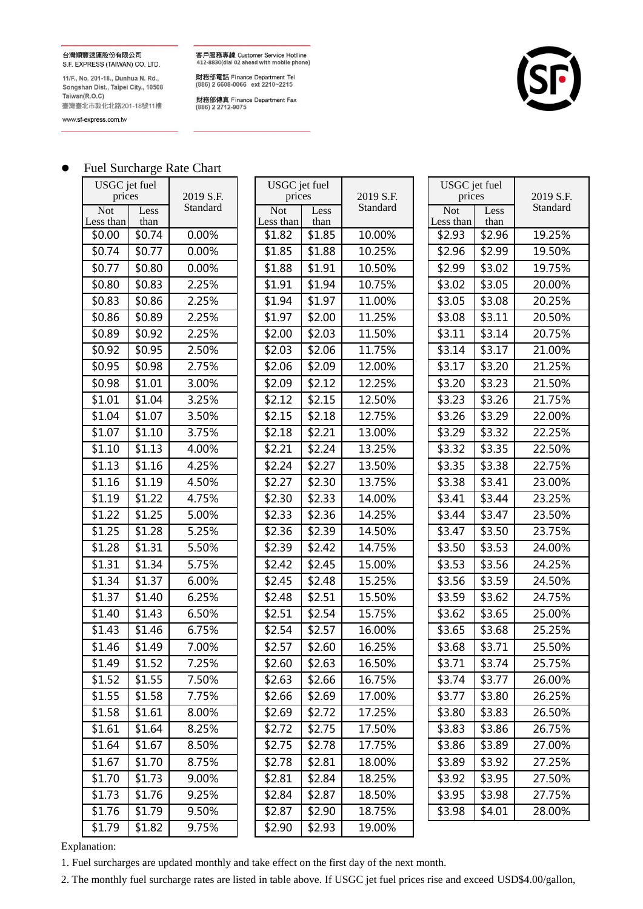台灣順豐速運股份有限公司 S.F. EXPRESS (TAIWAN) CO. LTD.

11/F., No. 201-18., Dunhua N. Rd., Songshan Dist., Taipei City., 10508 Taiwan(R.O.C) 臺灣臺北市敦化北路201-18號11樓

www.sf-express.com.tw

客戶服務專線 Customer Service Hotline<br>412-8830(dial 02 ahead with mobile phone)

財務部電話 Finance Department Tel<br>(886) 2 6608-0066 ext 2210~2215

財務部傳真 Finance Department Fax<br>(886) 2 2712-9075



|                         |              | I aoi baionaige Raio Chart |                         |                         |           |                         |               |          |
|-------------------------|--------------|----------------------------|-------------------------|-------------------------|-----------|-------------------------|---------------|----------|
| USGC jet fuel<br>prices |              | 2019 S.F.                  |                         | USGC jet fuel<br>prices | 2019 S.F. | prices                  | USGC jet fuel | 2019 S.F |
| <b>Not</b><br>Less than | Less<br>than | Standard                   | <b>Not</b><br>Less than | Less<br>than            | Standard  | <b>Not</b><br>Less than | Less<br>than  | Standard |
| \$0.00                  | \$0.74       | 0.00%                      | \$1.82                  | \$1.85                  | 10.00%    | \$2.93                  | \$2.96        | 19.25%   |
| \$0.74                  | \$0.77       | 0.00%                      | \$1.85                  | \$1.88                  | 10.25%    | \$2.96                  | \$2.99        | 19.50%   |
| \$0.77                  | \$0.80       | 0.00%                      | \$1.88                  | \$1.91                  | 10.50%    | \$2.99                  | \$3.02        | 19.75%   |
| \$0.80                  | \$0.83       | 2.25%                      | \$1.91                  | \$1.94                  | 10.75%    | \$3.02                  | \$3.05        | 20.00%   |
| \$0.83                  | \$0.86       | 2.25%                      | \$1.94                  | \$1.97                  | 11.00%    | \$3.05                  | \$3.08        | 20.25%   |
| \$0.86                  | \$0.89       | 2.25%                      | \$1.97                  | \$2.00                  | 11.25%    | \$3.08                  | \$3.11        | 20.50%   |
| \$0.89                  | \$0.92       | 2.25%                      | \$2.00                  | \$2.03                  | 11.50%    | \$3.11                  | \$3.14        | 20.75%   |
| \$0.92                  | \$0.95       | 2.50%                      | \$2.03                  | \$2.06                  | 11.75%    | \$3.14                  | \$3.17        | 21.00%   |
| \$0.95                  | \$0.98       | 2.75%                      | \$2.06                  | \$2.09                  | 12.00%    | \$3.17                  | \$3.20        | 21.25%   |
| \$0.98                  | \$1.01       | 3.00%                      | \$2.09                  | \$2.12                  | 12.25%    | \$3.20                  | \$3.23        | 21.50%   |
| \$1.01                  | \$1.04       | 3.25%                      | \$2.12                  | \$2.15                  | 12.50%    | \$3.23                  | \$3.26        | 21.75%   |
| \$1.04                  | \$1.07       | 3.50%                      | \$2.15                  | \$2.18                  | 12.75%    | \$3.26                  | \$3.29        | 22.00%   |
| \$1.07                  | \$1.10       | 3.75%                      | \$2.18                  | \$2.21                  | 13.00%    | \$3.29                  | \$3.32        | 22.25%   |
| \$1.10                  | \$1.13       | 4.00%                      | \$2.21                  | \$2.24                  | 13.25%    | \$3.32                  | \$3.35        | 22.50%   |
| \$1.13                  | \$1.16       | 4.25%                      | \$2.24                  | \$2.27                  | 13.50%    | \$3.35                  | \$3.38        | 22.75%   |
| \$1.16                  | \$1.19       | 4.50%                      | \$2.27                  | \$2.30                  | 13.75%    | \$3.38                  | \$3.41        | 23.00%   |
| \$1.19                  | \$1.22       | 4.75%                      | \$2.30                  | \$2.33                  | 14.00%    | \$3.41                  | \$3.44        | 23.25%   |
| \$1.22                  | \$1.25       | 5.00%                      | \$2.33                  | \$2.36                  | 14.25%    | \$3.44                  | \$3.47        | 23.50%   |
| \$1.25                  | \$1.28       | 5.25%                      | \$2.36                  | \$2.39                  | 14.50%    | \$3.47                  | \$3.50        | 23.75%   |
| \$1.28                  | \$1.31       | 5.50%                      | \$2.39                  | \$2.42                  | 14.75%    | \$3.50                  | \$3.53        | 24.00%   |
| \$1.31                  | \$1.34       | 5.75%                      | \$2.42                  | $\overline{$}2.45$      | 15.00%    | \$3.53                  | \$3.56        | 24.25%   |
| \$1.34                  | \$1.37       | 6.00%                      | \$2.45                  | \$2.48                  | 15.25%    | \$3.56                  | \$3.59        | 24.50%   |
| \$1.37                  | \$1.40       | 6.25%                      | \$2.48                  | \$2.51                  | 15.50%    | \$3.59                  | \$3.62        | 24.75%   |
| \$1.40                  | \$1.43       | 6.50%                      | \$2.51                  | \$2.54                  | 15.75%    | \$3.62                  | \$3.65        | 25.00%   |
| \$1.43                  | \$1.46       | 6.75%                      | \$2.54                  | \$2.57                  | 16.00%    | \$3.65                  | \$3.68        | 25.25%   |
| \$1.46                  | \$1.49       | 7.00%                      | \$2.57                  | \$2.60                  | 16.25%    | \$3.68                  | \$3.71        | 25.50%   |
| \$1.49                  | \$1.52       | 7.25%                      | \$2.60                  | \$2.63                  | 16.50%    | \$3.71                  | \$3.74        | 25.75%   |
| \$1.52                  | \$1.55       | 7.50%                      | \$2.63                  | \$2.66                  | 16.75%    | \$3.74                  | \$3.77        | 26.00%   |
| \$1.55                  | \$1.58       | 7.75%                      | \$2.66                  | \$2.69                  | 17.00%    | \$3.77                  | \$3.80        | 26.25%   |
| \$1.58                  | \$1.61       | 8.00%                      | \$2.69                  | \$2.72                  | 17.25%    | \$3.80                  | \$3.83        | 26.50%   |
| \$1.61                  | \$1.64       | 8.25%                      | \$2.72                  | \$2.75                  | 17.50%    | \$3.83                  | \$3.86        | 26.75%   |
| \$1.64                  | \$1.67       | 8.50%                      | \$2.75                  | \$2.78                  | 17.75%    | \$3.86                  | \$3.89        | 27.00%   |
| \$1.67                  | \$1.70       | 8.75%                      | \$2.78                  | \$2.81                  | 18.00%    | \$3.89                  | \$3.92        | 27.25%   |
| \$1.70                  | \$1.73       | 9.00%                      | \$2.81                  | \$2.84                  | 18.25%    | \$3.92                  | \$3.95        | 27.50%   |
| \$1.73                  | \$1.76       | 9.25%                      | \$2.84                  | \$2.87                  | 18.50%    | \$3.95                  | \$3.98        | 27.75%   |
| \$1.76                  | \$1.79       | 9.50%                      | \$2.87                  | \$2.90                  | 18.75%    | \$3.98                  | \$4.01        | 28.00%   |
| \$1.79                  | \$1.82       | 9.75%                      | \$2.90                  | \$2.93                  | 19.00%    |                         |               |          |

| USGC jet fuel<br>prices |        | 2019 S.F. |
|-------------------------|--------|-----------|
| <b>Not</b>              | Less   | Standard  |
| Less than               | than   |           |
| \$1.82                  | \$1.85 | 10.00%    |
| \$1.85                  | \$1.88 | 10.25%    |
| \$1.88                  | \$1.91 | 10.50%    |
| \$1.91                  | \$1.94 | 10.75%    |
| \$1.94                  | \$1.97 | 11.00%    |
| \$1.97                  | \$2.00 | 11.25%    |
| \$2.00                  | \$2.03 | 11.50%    |
| \$2.03                  | \$2.06 | 11.75%    |
| \$2.06                  | \$2.09 | 12.00%    |
| \$2.09                  | \$2.12 | 12.25%    |
| \$2.12                  | \$2.15 | 12.50%    |
| \$2.15                  | \$2.18 | 12.75%    |
| \$2.18                  | \$2.21 | 13.00%    |
| \$2.21                  | \$2.24 | 13.25%    |
| \$2.24                  | \$2.27 | 13.50%    |
| \$2.27                  | \$2.30 | 13.75%    |
| \$2.30                  | \$2.33 | 14.00%    |
| \$2.33                  | \$2.36 | 14.25%    |
| \$2.36                  | \$2.39 | 14.50%    |
| \$2.39                  | \$2.42 | 14.75%    |
| \$2.42                  | \$2.45 | 15.00%    |
| \$2.45                  | \$2.48 | 15.25%    |
| \$2.48                  | \$2.51 | 15.50%    |
| \$2.51                  | \$2.54 | 15.75%    |
| \$2.54                  | \$2.57 | 16.00%    |
| \$2.57                  | \$2.60 | 16.25%    |
| \$2.60                  | \$2.63 | 16.50%    |
| \$2.63                  | \$2.66 | 16.75%    |
| \$2.66                  | \$2.69 | 17.00%    |
| \$2.69                  | \$2.72 | 17.25%    |
| \$2.72                  | \$2.75 | 17.50%    |
| \$2.75                  | \$2.78 | 17.75%    |
| \$2.78                  | \$2.81 | 18.00%    |
| \$2.81                  | \$2.84 | 18.25%    |
| \$2.84                  | \$2.87 | 18.50%    |
| \$2.87                  | \$2.90 | 18.75%    |
| \$2.90                  | \$2.93 | 19.00%    |

| USGC jet fuel<br>prices |              | 2019 S.F. |
|-------------------------|--------------|-----------|
| Not<br>Less than        | Less<br>than | Standard  |
| \$2.93                  | \$2.96       | 19.25%    |
| \$2.96                  | \$2.99       | 19.50%    |
| \$2.99                  | \$3.02       | 19.75%    |
| \$3.02                  | \$3.05       | 20.00%    |
| \$3.05                  | \$3.08       | 20.25%    |
| \$3.08                  | \$3.11       | 20.50%    |
| \$3.11                  | \$3.14       | 20.75%    |
| \$3.14                  | \$3.17       | 21.00%    |
| \$3.17                  | \$3.20       | 21.25%    |
| \$3.20                  | \$3.23       | 21.50%    |
| \$3.23                  | \$3.26       | 21.75%    |
| \$3.26                  | \$3.29       | 22.00%    |
| \$3.29                  | \$3.32       | 22.25%    |
| \$3.32                  | \$3.35       | 22.50%    |
| \$3.35                  | \$3.38       | 22.75%    |
| \$3.38                  | \$3.41       | 23.00%    |
| \$3.41                  | \$3.44       | 23.25%    |
| \$3.44                  | \$3.47       | 23.50%    |
| \$3.47                  | \$3.50       | 23.75%    |
| \$3.50                  | \$3.53       | 24.00%    |
| \$3.53                  | \$3.56       | 24.25%    |
| \$3.56                  | \$3.59       | 24.50%    |
| \$3.59                  | \$3.62       | 24.75%    |
| \$3.62                  | \$3.65       | 25.00%    |
| \$3.65                  | \$3.68       | 25.25%    |
| \$3.68                  | \$3.71       | 25.50%    |
| \$3.71                  | \$3.74       | 25.75%    |
| \$3.74                  | \$3.77       | 26.00%    |
| \$3.77                  | \$3.80       | 26.25%    |
| \$3.80                  | \$3.83       | 26.50%    |
| \$3.83                  | \$3.86       | 26.75%    |
| \$3.86                  | \$3.89       | 27.00%    |
| \$3.89                  | \$3.92       | 27.25%    |
| \$3.92                  | \$3.95       | 27.50%    |
| \$3.95                  | \$3.98       | 27.75%    |
| \$3.98                  | \$4.01       | 28.00%    |

## ● Fuel Surcharge Rate Chart

Explanation:

1. Fuel surcharges are updated monthly and take effect on the first day of the next month.

2. The monthly fuel surcharge rates are listed in table above. If USGC jet fuel prices rise and exceed USD\$4.00/gallon,